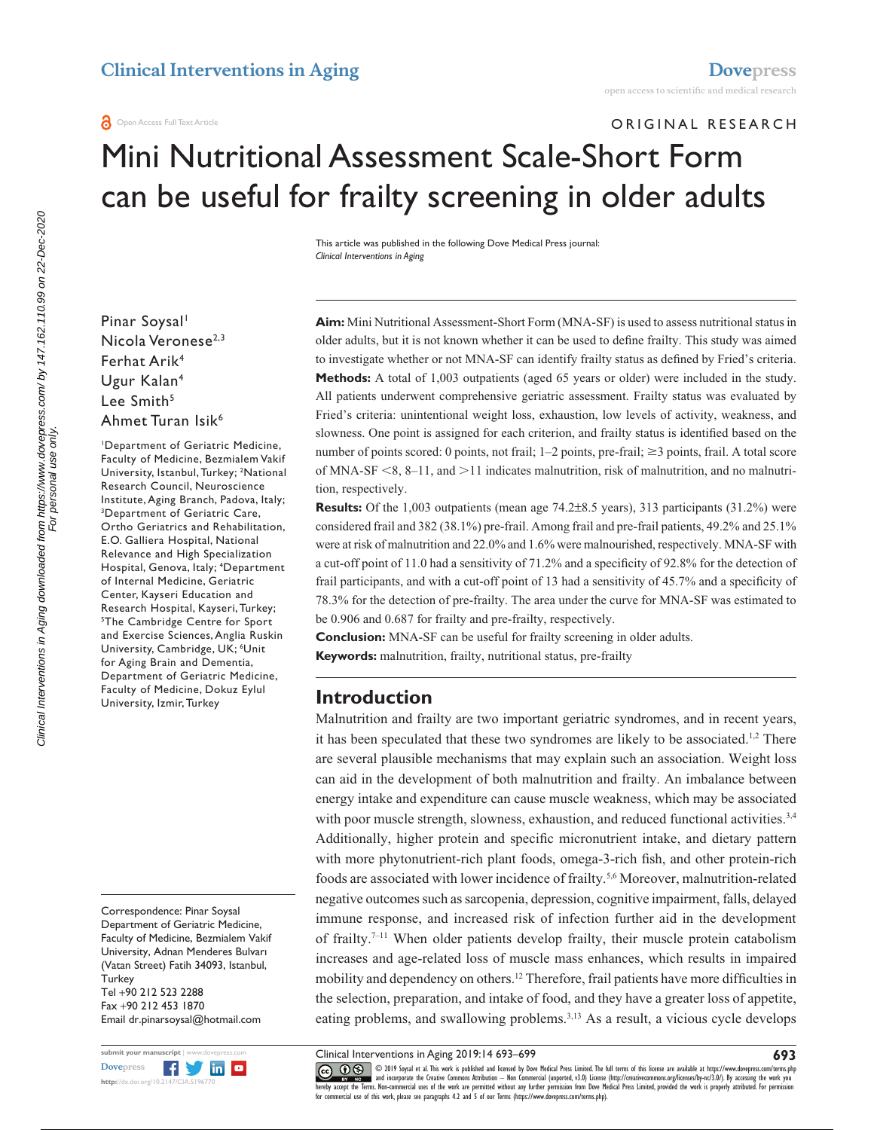ORIGINAL RESEARCH

# Mini Nutritional Assessment Scale-Short Form can be useful for frailty screening in older adults

This article was published in the following Dove Medical Press journal: *Clinical Interventions in Aging*

Pinar Soysal<sup>1</sup> Nicola Veronese<sup>2,3</sup> Ferhat Arik4 Ugur Kalan4 Lee Smith<sup>5</sup> Ahmet Turan Isik6

1 Department of Geriatric Medicine, Faculty of Medicine, Bezmialem Vakif University, Istanbul, Turkey; <sup>2</sup>National Research Council, Neuroscience Institute, Aging Branch, Padova, Italy; 3 Department of Geriatric Care, Ortho Geriatrics and Rehabilitation, E.O. Galliera Hospital, National Relevance and High Specialization Hospital, Genova, Italy; 4 Department of Internal Medicine, Geriatric Center, Kayseri Education and Research Hospital, Kayseri, Turkey; 5 The Cambridge Centre for Sport and Exercise Sciences, Anglia Ruskin University, Cambridge, UK; <sup>6</sup>Unit for Aging Brain and Dementia, Department of Geriatric Medicine, Faculty of Medicine, Dokuz Eylul University, Izmir, Turkey

Email [dr.pinarsoysal@hotmail.com](mailto:dr.pinarsoysal@hotmail.com)



**Aim:** Mini Nutritional Assessment-Short Form (MNA-SF) is used to assess nutritional status in older adults, but it is not known whether it can be used to define frailty. This study was aimed to investigate whether or not MNA-SF can identify frailty status as defined by Fried's criteria. **Methods:** A total of 1,003 outpatients (aged 65 years or older) were included in the study. All patients underwent comprehensive geriatric assessment. Frailty status was evaluated by Fried's criteria: unintentional weight loss, exhaustion, low levels of activity, weakness, and slowness. One point is assigned for each criterion, and frailty status is identified based on the number of points scored: 0 points, not frail;  $1-2$  points, pre-frail;  $\geq 3$  points, frail. A total score of MNA-SF  $\leq$ 8, 8–11, and  $\geq$ 11 indicates malnutrition, risk of malnutrition, and no malnutrition, respectively.

**Results:** Of the 1,003 outpatients (mean age 74.2±8.5 years), 313 participants (31.2%) were considered frail and 382 (38.1%) pre-frail. Among frail and pre-frail patients, 49.2% and 25.1% were at risk of malnutrition and 22.0% and 1.6% were malnourished, respectively. MNA-SF with a cut-off point of 11.0 had a sensitivity of 71.2% and a specificity of 92.8% for the detection of frail participants, and with a cut-off point of 13 had a sensitivity of 45.7% and a specificity of 78.3% for the detection of pre-frailty. The area under the curve for MNA-SF was estimated to be 0.906 and 0.687 for frailty and pre-frailty, respectively.

**Conclusion:** MNA-SF can be useful for frailty screening in older adults. **Keywords:** malnutrition, frailty, nutritional status, pre-frailty

## **Introduction**

Malnutrition and frailty are two important geriatric syndromes, and in recent years, it has been speculated that these two syndromes are likely to be associated.<sup>1,2</sup> There are several plausible mechanisms that may explain such an association. Weight loss can aid in the development of both malnutrition and frailty. An imbalance between energy intake and expenditure can cause muscle weakness, which may be associated with poor muscle strength, slowness, exhaustion, and reduced functional activities.<sup>3,4</sup> Additionally, higher protein and specific micronutrient intake, and dietary pattern with more phytonutrient-rich plant foods, omega-3-rich fish, and other protein-rich foods are associated with lower incidence of frailty.<sup>5,6</sup> Moreover, malnutrition-related negative outcomes such as sarcopenia, depression, cognitive impairment, falls, delayed immune response, and increased risk of infection further aid in the development of frailty.7–11 When older patients develop frailty, their muscle protein catabolism increases and age-related loss of muscle mass enhances, which results in impaired mobility and dependency on others.12 Therefore, frail patients have more difficulties in the selection, preparation, and intake of food, and they have a greater loss of appetite, eating problems, and swallowing problems.3,13 As a result, a vicious cycle develops

Clinical Interventions in Aging 2019:14 693–699

CC 0 9 9 1019 Soysal et al. This work is published and licensed by Dove Medical Press Limited. The full terms of this license are available at <https://www.dovepress.com/terms.php><br>[hereby accept the Terms](http://www.dovepress.com/permissions.php). Non-commercial use

**693**

Correspondence: Pinar Soysal Department of Geriatric Medicine, Faculty of Medicine, Bezmialem Vakif University, Adnan Menderes Bulvarı (Vatan Street) Fatih 34093, Istanbul, **Turkey** Tel +90 212 523 2288 Fax +90 212 453 1870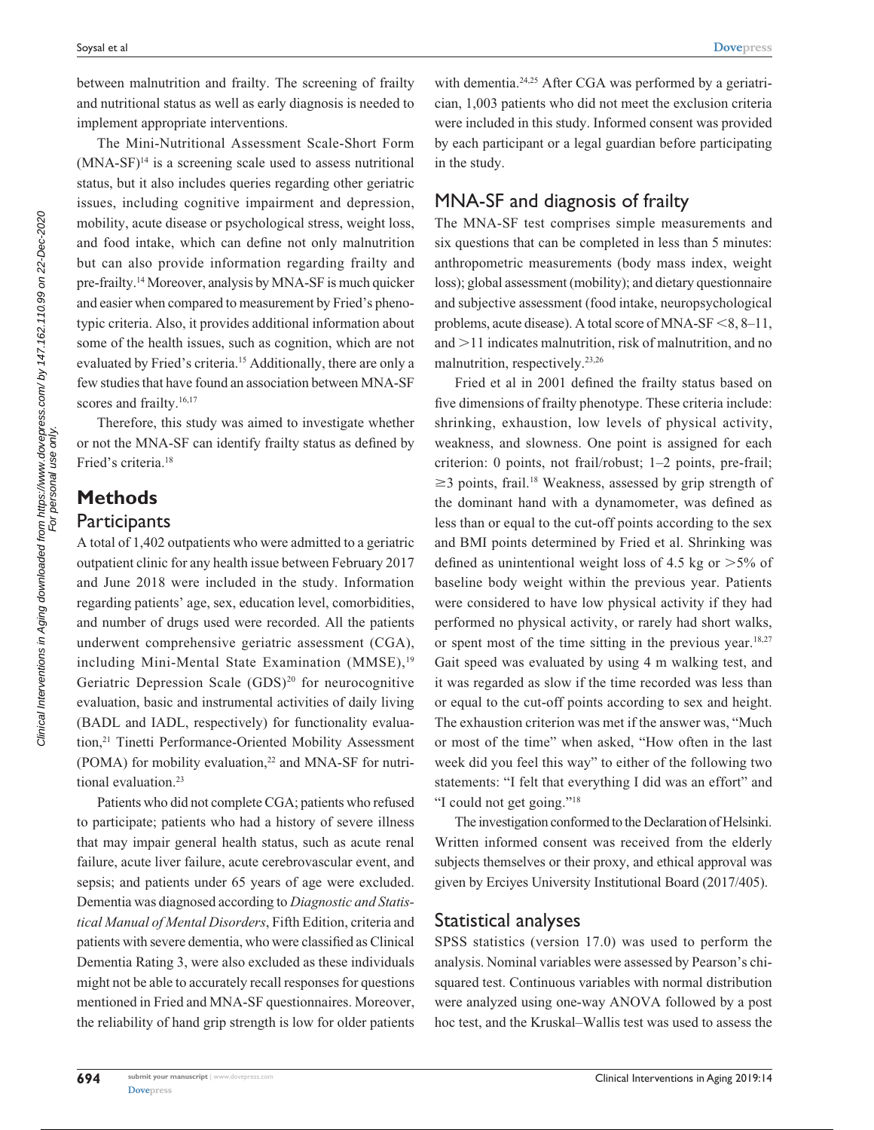between malnutrition and frailty. The screening of frailty and nutritional status as well as early diagnosis is needed to implement appropriate interventions.

The Mini-Nutritional Assessment Scale-Short Form  $(MNA-SF)^{14}$  is a screening scale used to assess nutritional status, but it also includes queries regarding other geriatric issues, including cognitive impairment and depression, mobility, acute disease or psychological stress, weight loss, and food intake, which can define not only malnutrition but can also provide information regarding frailty and pre-frailty.14 Moreover, analysis by MNA-SF is much quicker and easier when compared to measurement by Fried's phenotypic criteria. Also, it provides additional information about some of the health issues, such as cognition, which are not evaluated by Fried's criteria.15 Additionally, there are only a few studies that have found an association between MNA-SF scores and frailty.<sup>16,17</sup>

Therefore, this study was aimed to investigate whether or not the MNA-SF can identify frailty status as defined by Fried's criteria.18

## **Methods**

## **Participants**

A total of 1,402 outpatients who were admitted to a geriatric outpatient clinic for any health issue between February 2017 and June 2018 were included in the study. Information regarding patients' age, sex, education level, comorbidities, and number of drugs used were recorded. All the patients underwent comprehensive geriatric assessment (CGA), including Mini-Mental State Examination (MMSE), 19 Geriatric Depression Scale (GDS)<sup>20</sup> for neurocognitive evaluation, basic and instrumental activities of daily living (BADL and IADL, respectively) for functionality evaluation,<sup>21</sup> Tinetti Performance-Oriented Mobility Assessment (POMA) for mobility evaluation, $22$  and MNA-SF for nutritional evaluation.<sup>23</sup>

Patients who did not complete CGA; patients who refused to participate; patients who had a history of severe illness that may impair general health status, such as acute renal failure, acute liver failure, acute cerebrovascular event, and sepsis; and patients under 65 years of age were excluded. Dementia was diagnosed according to *Diagnostic and Statistical Manual of Mental Disorders*, Fifth Edition, criteria and patients with severe dementia, who were classified as Clinical Dementia Rating 3, were also excluded as these individuals might not be able to accurately recall responses for questions mentioned in Fried and MNA-SF questionnaires. Moreover, the reliability of hand grip strength is low for older patients

with dementia.<sup>24,25</sup> After CGA was performed by a geriatrician, 1,003 patients who did not meet the exclusion criteria were included in this study. Informed consent was provided by each participant or a legal guardian before participating in the study.

## MNA-SF and diagnosis of frailty

The MNA-SF test comprises simple measurements and six questions that can be completed in less than 5 minutes: anthropometric measurements (body mass index, weight loss); global assessment (mobility); and dietary questionnaire and subjective assessment (food intake, neuropsychological problems, acute disease). A total score of MNA-SF  $\leq 8, 8-11$ , and  $>11$  indicates malnutrition, risk of malnutrition, and no malnutrition, respectively.23,26

Fried et al in 2001 defined the frailty status based on five dimensions of frailty phenotype. These criteria include: shrinking, exhaustion, low levels of physical activity, weakness, and slowness. One point is assigned for each criterion: 0 points, not frail/robust; 1–2 points, pre-frail;  $\geq$ 3 points, frail.<sup>18</sup> Weakness, assessed by grip strength of the dominant hand with a dynamometer, was defined as less than or equal to the cut-off points according to the sex and BMI points determined by Fried et al. Shrinking was defined as unintentional weight loss of 4.5 kg or  $>5\%$  of baseline body weight within the previous year. Patients were considered to have low physical activity if they had performed no physical activity, or rarely had short walks, or spent most of the time sitting in the previous year.<sup>18,27</sup> Gait speed was evaluated by using 4 m walking test, and it was regarded as slow if the time recorded was less than or equal to the cut-off points according to sex and height. The exhaustion criterion was met if the answer was, "Much or most of the time" when asked, "How often in the last week did you feel this way" to either of the following two statements: "I felt that everything I did was an effort" and "I could not get going."18

The investigation conformed to the Declaration of Helsinki. Written informed consent was received from the elderly subjects themselves or their proxy, and ethical approval was given by Erciyes University Institutional Board (2017/405).

#### Statistical analyses

SPSS statistics (version 17.0) was used to perform the analysis. Nominal variables were assessed by Pearson's chisquared test. Continuous variables with normal distribution were analyzed using one-way ANOVA followed by a post hoc test, and the Kruskal–Wallis test was used to assess the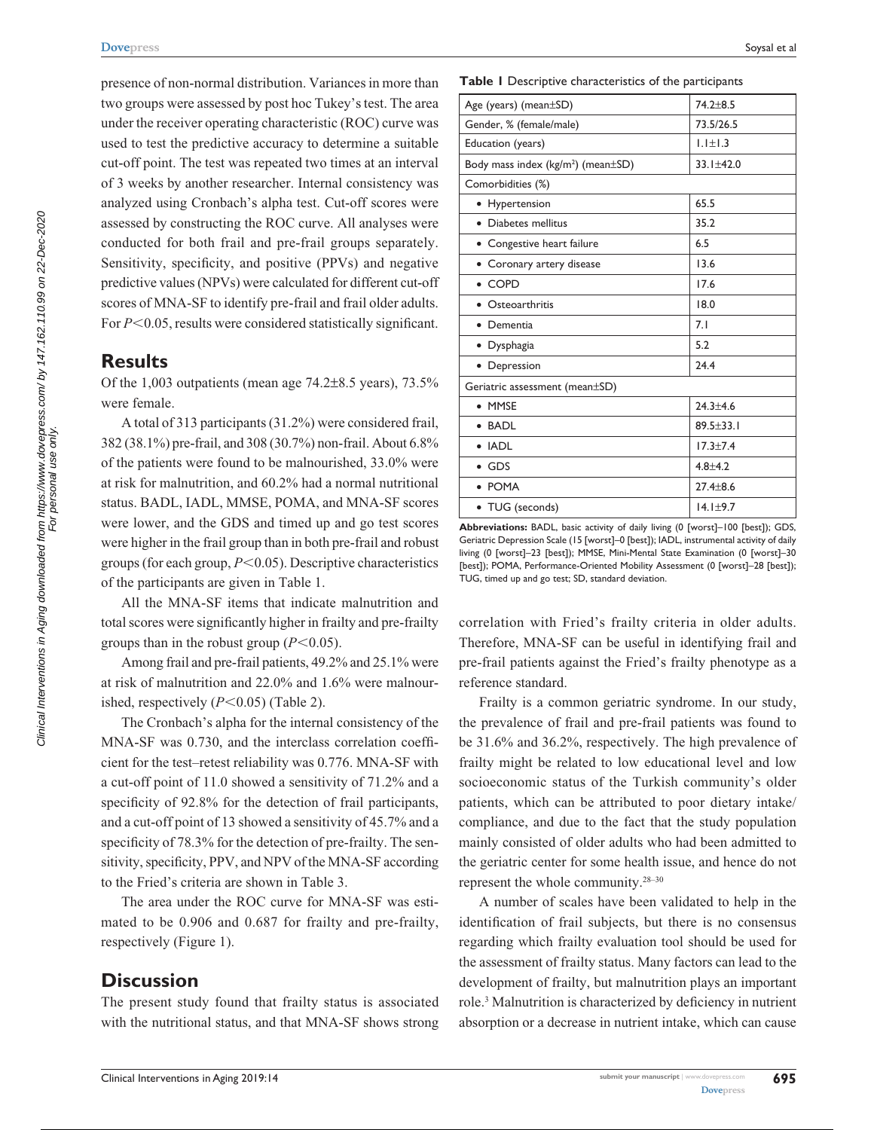presence of non-normal distribution. Variances in more than two groups were assessed by post hoc Tukey's test. The area under the receiver operating characteristic (ROC) curve was used to test the predictive accuracy to determine a suitable cut-off point. The test was repeated two times at an interval of 3 weeks by another researcher. Internal consistency was analyzed using Cronbach's alpha test. Cut-off scores were assessed by constructing the ROC curve. All analyses were conducted for both frail and pre-frail groups separately. Sensitivity, specificity, and positive (PPVs) and negative predictive values (NPVs) were calculated for different cut-off scores of MNA-SF to identify pre-frail and frail older adults. For *P*<0.05, results were considered statistically significant.

### **Results**

Of the 1,003 outpatients (mean age 74.2±8.5 years), 73.5% were female.

A total of 313 participants (31.2%) were considered frail, 382 (38.1%) pre-frail, and 308 (30.7%) non-frail. About 6.8% of the patients were found to be malnourished, 33.0% were at risk for malnutrition, and 60.2% had a normal nutritional status. BADL, IADL, MMSE, POMA, and MNA-SF scores were lower, and the GDS and timed up and go test scores were higher in the frail group than in both pre-frail and robust groups (for each group, *P*<0.05). Descriptive characteristics of the participants are given in Table 1.

All the MNA-SF items that indicate malnutrition and total scores were significantly higher in frailty and pre-frailty groups than in the robust group  $(P<0.05)$ .

Among frail and pre-frail patients, 49.2% and 25.1% were at risk of malnutrition and 22.0% and 1.6% were malnourished, respectively  $(P<0.05)$  (Table 2).

The Cronbach's alpha for the internal consistency of the MNA-SF was 0.730, and the interclass correlation coefficient for the test–retest reliability was 0.776. MNA-SF with a cut-off point of 11.0 showed a sensitivity of 71.2% and a specificity of 92.8% for the detection of frail participants, and a cut-off point of 13 showed a sensitivity of 45.7% and a specificity of 78.3% for the detection of pre-frailty. The sensitivity, specificity, PPV, and NPV of the MNA-SF according to the Fried's criteria are shown in Table 3.

The area under the ROC curve for MNA-SF was estimated to be 0.906 and 0.687 for frailty and pre-frailty, respectively (Figure 1).

## **Discussion**

The present study found that frailty status is associated with the nutritional status, and that MNA-SF shows strong **Table 1** Descriptive characteristics of the participants

| Age (years) (mean±SD)                          | $74.2 + 8.5$  |  |  |  |
|------------------------------------------------|---------------|--|--|--|
| Gender, % (female/male)                        | 73.5/26.5     |  |  |  |
| Education (years)                              | $1.1 \pm 1.3$ |  |  |  |
| Body mass index (kg/m <sup>2</sup> ) (mean±SD) | 33.1±42.0     |  |  |  |
| Comorbidities (%)                              |               |  |  |  |
| • Hypertension                                 | 65.5          |  |  |  |
| • Diabetes mellitus                            | 35.2          |  |  |  |
| • Congestive heart failure                     | 6.5           |  |  |  |
| Coronary artery disease                        | 13.6          |  |  |  |
| <b>COPD</b>                                    | 17.6          |  |  |  |
| Osteoarthritis                                 | 18.0          |  |  |  |
| Dementia                                       | 7.1           |  |  |  |
| • Dysphagia                                    | 5.2           |  |  |  |
| • Depression                                   | 24.4          |  |  |  |
| Geriatric assessment (mean±SD)                 |               |  |  |  |
| • MMSE                                         | $24.3 + 4.6$  |  |  |  |
| <b>BADL</b>                                    | $89.5 + 33.1$ |  |  |  |
| $\bullet$ IADL                                 | $17.3 + 7.4$  |  |  |  |
| GDS                                            | $4.8 + 4.2$   |  |  |  |
| <b>POMA</b>                                    | $27.4 + 8.6$  |  |  |  |
| • TUG (seconds)                                | $14.1 + 9.7$  |  |  |  |
|                                                |               |  |  |  |

**Abbreviations:** BADL, basic activity of daily living (0 [worst]–100 [best]); GDS, Geriatric Depression Scale (15 [worst]–0 [best]); IADL, instrumental activity of daily living (0 [worst]–23 [best]); MMSE, Mini-Mental State Examination (0 [worst]–30 [best]); POMA, Performance-Oriented Mobility Assessment (0 [worst]–28 [best]); TUG, timed up and go test; SD, standard deviation.

correlation with Fried's frailty criteria in older adults. Therefore, MNA-SF can be useful in identifying frail and pre-frail patients against the Fried's frailty phenotype as a reference standard.

Frailty is a common geriatric syndrome. In our study, the prevalence of frail and pre-frail patients was found to be 31.6% and 36.2%, respectively. The high prevalence of frailty might be related to low educational level and low socioeconomic status of the Turkish community's older patients, which can be attributed to poor dietary intake/ compliance, and due to the fact that the study population mainly consisted of older adults who had been admitted to the geriatric center for some health issue, and hence do not represent the whole community.28–30

A number of scales have been validated to help in the identification of frail subjects, but there is no consensus regarding which frailty evaluation tool should be used for the assessment of frailty status. Many factors can lead to the development of frailty, but malnutrition plays an important role.3 Malnutrition is characterized by deficiency in nutrient absorption or a decrease in nutrient intake, which can cause

For personal use only.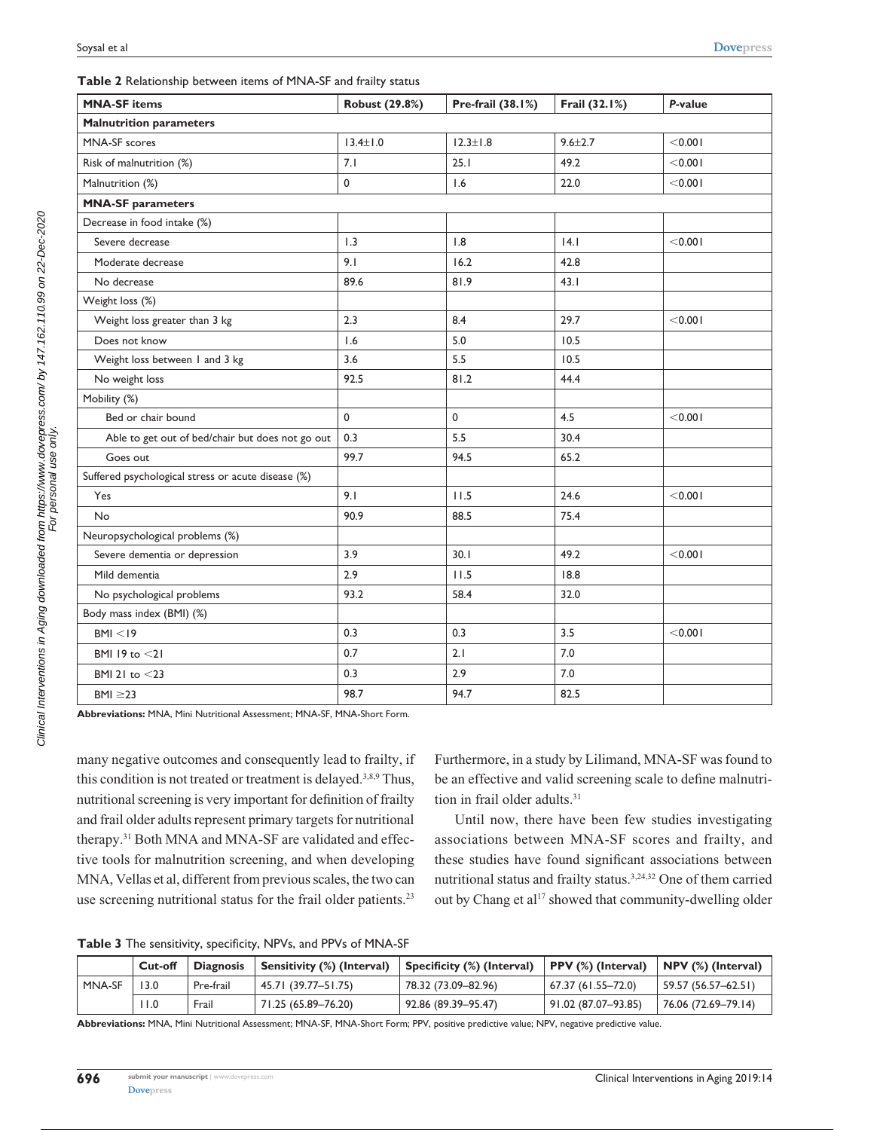#### **Table 2** Relationship between items of MNA-SF and frailty status

| <b>MNA-SF items</b>                                | Robust (29.8%) | Pre-frail (38.1%) | Frail (32.1%) | P-value |  |  |  |  |  |
|----------------------------------------------------|----------------|-------------------|---------------|---------|--|--|--|--|--|
| <b>Malnutrition parameters</b>                     |                |                   |               |         |  |  |  |  |  |
| <b>MNA-SF</b> scores                               | $13.4 \pm 1.0$ | $12.3 \pm 1.8$    | $9.6 + 2.7$   | < 0.001 |  |  |  |  |  |
| Risk of malnutrition (%)                           | 7.1            | 25.1              | 49.2          | < 0.001 |  |  |  |  |  |
| Malnutrition (%)                                   | 0              | 1.6               | 22.0          | < 0.001 |  |  |  |  |  |
| <b>MNA-SF</b> parameters                           |                |                   |               |         |  |  |  |  |  |
| Decrease in food intake (%)                        |                |                   |               |         |  |  |  |  |  |
| Severe decrease                                    | 1.3            | 1.8               | 4.1           | < 0.001 |  |  |  |  |  |
| Moderate decrease                                  | 9.1            | 16.2              | 42.8          |         |  |  |  |  |  |
| No decrease                                        | 89.6           | 81.9              | 43.1          |         |  |  |  |  |  |
| Weight loss (%)                                    |                |                   |               |         |  |  |  |  |  |
| Weight loss greater than 3 kg                      | 2.3            | 8.4               | 29.7          | < 0.001 |  |  |  |  |  |
| Does not know                                      | 1.6            | 5.0               | 10.5          |         |  |  |  |  |  |
| Weight loss between I and 3 kg                     | 3.6            | 5.5               | 10.5          |         |  |  |  |  |  |
| No weight loss                                     | 92.5           | 81.2              | 44.4          |         |  |  |  |  |  |
| Mobility (%)                                       |                |                   |               |         |  |  |  |  |  |
| Bed or chair bound                                 | $\mathbf 0$    | 0                 | 4.5           | < 0.001 |  |  |  |  |  |
| Able to get out of bed/chair but does not go out   | 0.3            | 5.5               | 30.4          |         |  |  |  |  |  |
| Goes out                                           | 99.7           | 94.5              | 65.2          |         |  |  |  |  |  |
| Suffered psychological stress or acute disease (%) |                |                   |               |         |  |  |  |  |  |
| Yes                                                | 9.1            | 11.5              | 24.6          | < 0.001 |  |  |  |  |  |
| No                                                 | 90.9           | 88.5              | 75.4          |         |  |  |  |  |  |
| Neuropsychological problems (%)                    |                |                   |               |         |  |  |  |  |  |
| Severe dementia or depression                      | 3.9            | 30.1              | 49.2          | < 0.001 |  |  |  |  |  |
| Mild dementia                                      | 2.9            | 11.5              | 18.8          |         |  |  |  |  |  |
| No psychological problems                          | 93.2           | 58.4              | 32.0          |         |  |  |  |  |  |
| Body mass index (BMI) (%)                          |                |                   |               |         |  |  |  |  |  |
| BM < 19                                            | 0.3            | 0.3               | 3.5           | < 0.001 |  |  |  |  |  |
| BMI 19 to <21                                      | 0.7            | 2.1               | 7.0           |         |  |  |  |  |  |
| BMI 21 to $<$ 23                                   | 0.3            | 2.9               | 7.0           |         |  |  |  |  |  |
| $BMI \geq 23$                                      | 98.7           | 94.7              | 82.5          |         |  |  |  |  |  |

**Abbreviations:** MNA, Mini Nutritional Assessment; MNA-SF, MNA-Short Form.

many negative outcomes and consequently lead to frailty, if this condition is not treated or treatment is delayed.<sup>3,8,9</sup> Thus, nutritional screening is very important for definition of frailty and frail older adults represent primary targets for nutritional therapy.<sup>31</sup> Both MNA and MNA-SF are validated and effective tools for malnutrition screening, and when developing MNA, Vellas et al, different from previous scales, the two can use screening nutritional status for the frail older patients.<sup>23</sup>

Furthermore, in a study by Lilimand, MNA-SF was found to be an effective and valid screening scale to define malnutrition in frail older adults.<sup>31</sup>

Until now, there have been few studies investigating associations between MNA-SF scores and frailty, and these studies have found significant associations between nutritional status and frailty status.3,24,32 One of them carried out by Chang et al<sup>17</sup> showed that community-dwelling older

#### **Table 3** The sensitivity, specificity, NPVs, and PPVs of MNA-SF

|               | Cut-off | <b>Diagnosis</b> | Sensitivity (%) (Interval) | Specificity (%) (Interval) | PPV (%) (Interval)  | $\vert$ NPV $\langle\% \rangle$ (Interval) |
|---------------|---------|------------------|----------------------------|----------------------------|---------------------|--------------------------------------------|
| <b>MNA-SF</b> | 13.0    | Pre-frail        | 45.71 (39.77-51.75)        | 78.32 (73.09-82.96)        | 67.37 (61.55–72.0)  | 59.57 (56.57–62.51)                        |
|               | 11.0    | Frail            | 71.25 (65.89-76.20)        | 92.86 (89.39–95.47)        | 91.02 (87.07-93.85) | 76.06 (72.69–79.14)                        |

**Abbreviations:** MNA, Mini Nutritional Assessment; MNA-SF, MNA-Short Form; PPV, positive predictive value; NPV, negative predictive value.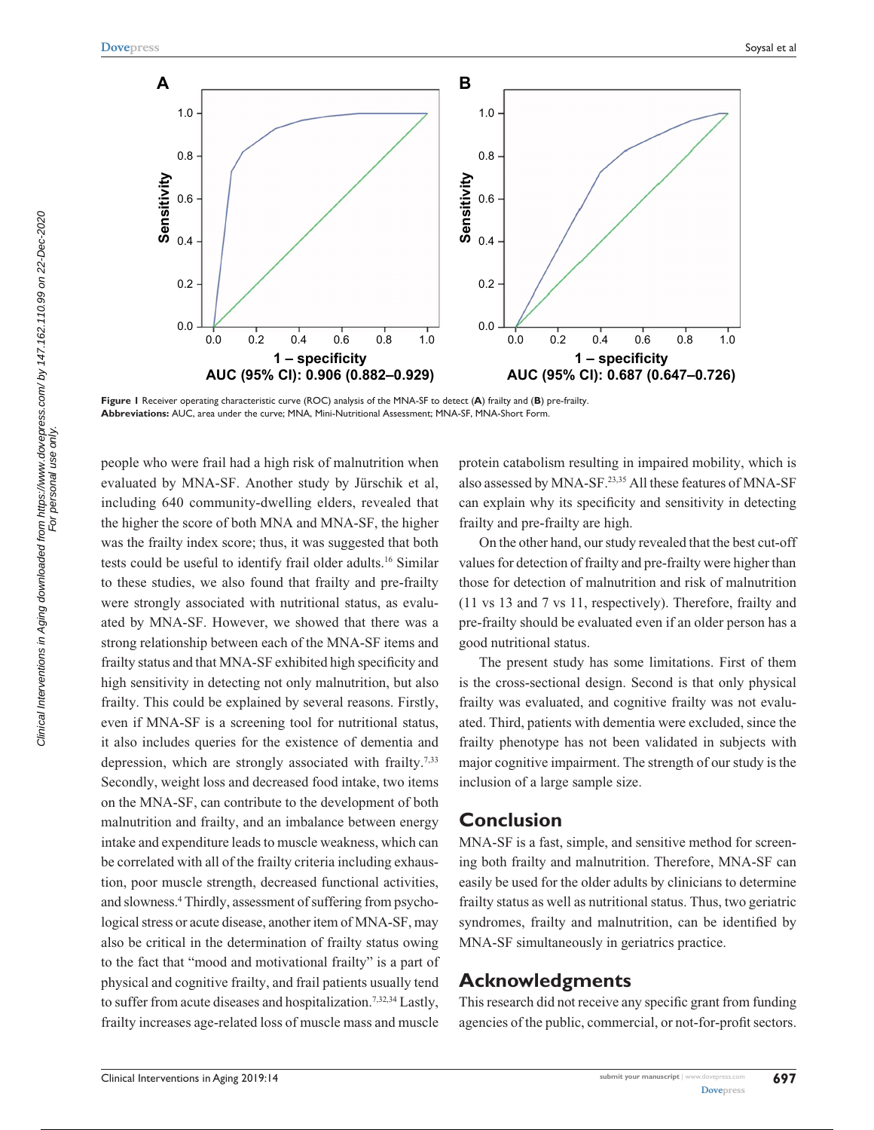

**Figure 1** Receiver operating characteristic curve (ROC) analysis of the MNA-SF to detect (**A**) frailty and (**B**) pre-frailty. **Abbreviations:** AUC, area under the curve; MNA, Mini-Nutritional Assessment; MNA-SF, MNA-Short Form.

people who were frail had a high risk of malnutrition when evaluated by MNA-SF. Another study by Jürschik et al, including 640 community-dwelling elders, revealed that the higher the score of both MNA and MNA-SF, the higher was the frailty index score; thus, it was suggested that both tests could be useful to identify frail older adults.16 Similar to these studies, we also found that frailty and pre-frailty were strongly associated with nutritional status, as evaluated by MNA-SF. However, we showed that there was a strong relationship between each of the MNA-SF items and frailty status and that MNA-SF exhibited high specificity and high sensitivity in detecting not only malnutrition, but also frailty. This could be explained by several reasons. Firstly, even if MNA-SF is a screening tool for nutritional status, it also includes queries for the existence of dementia and depression, which are strongly associated with frailty.7,33 Secondly, weight loss and decreased food intake, two items on the MNA-SF, can contribute to the development of both malnutrition and frailty, and an imbalance between energy intake and expenditure leads to muscle weakness, which can be correlated with all of the frailty criteria including exhaustion, poor muscle strength, decreased functional activities, and slowness.4 Thirdly, assessment of suffering from psychological stress or acute disease, another item of MNA-SF, may also be critical in the determination of frailty status owing to the fact that "mood and motivational frailty" is a part of physical and cognitive frailty, and frail patients usually tend to suffer from acute diseases and hospitalization.7,32,34 Lastly, frailty increases age-related loss of muscle mass and muscle

protein catabolism resulting in impaired mobility, which is also assessed by MNA-SF.23,35 All these features of MNA-SF can explain why its specificity and sensitivity in detecting frailty and pre-frailty are high.

On the other hand, our study revealed that the best cut-off values for detection of frailty and pre-frailty were higher than those for detection of malnutrition and risk of malnutrition (11 vs 13 and 7 vs 11, respectively). Therefore, frailty and pre-frailty should be evaluated even if an older person has a good nutritional status.

The present study has some limitations. First of them is the cross-sectional design. Second is that only physical frailty was evaluated, and cognitive frailty was not evaluated. Third, patients with dementia were excluded, since the frailty phenotype has not been validated in subjects with major cognitive impairment. The strength of our study is the inclusion of a large sample size.

## **Conclusion**

MNA-SF is a fast, simple, and sensitive method for screening both frailty and malnutrition. Therefore, MNA-SF can easily be used for the older adults by clinicians to determine frailty status as well as nutritional status. Thus, two geriatric syndromes, frailty and malnutrition, can be identified by MNA-SF simultaneously in geriatrics practice.

## **Acknowledgments**

This research did not receive any specific grant from funding agencies of the public, commercial, or not-for-profit sectors.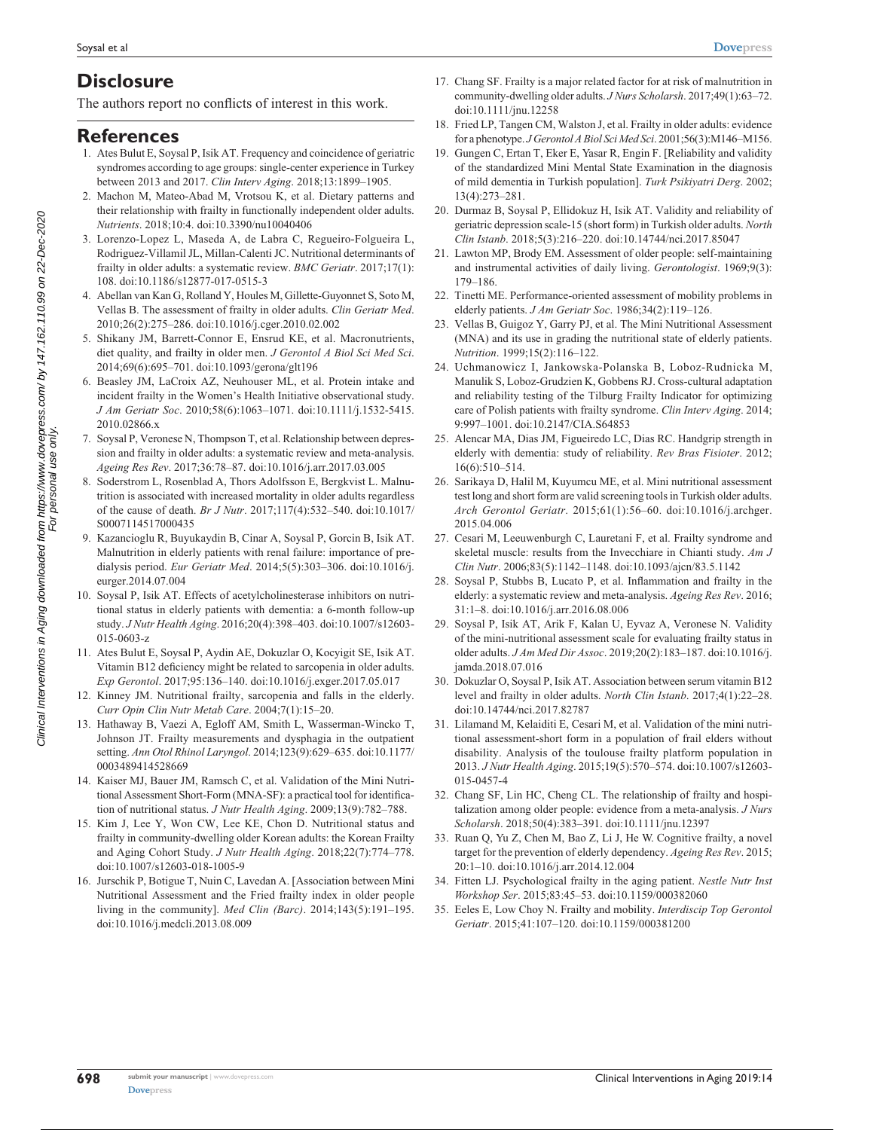Clinical Interventions in Aging downloaded from https://www.dovepress.com/ by 147.162.110.99 on 22-Dec-2020<br>For personal use only. Clinical Interventions in Aging downloaded from https://www.dovepress.com/ by 147.162.110.99 on 22-Dec-2020 For personal use only.

## **Disclosure**

The authors report no conflicts of interest in this work.

## **References**

- 1. Ates Bulut E, Soysal P, Isik AT. Frequency and coincidence of geriatric syndromes according to age groups: single-center experience in Turkey between 2013 and 2017. *Clin Interv Aging*. 2018;13:1899–1905.
- 2. Machon M, Mateo-Abad M, Vrotsou K, et al. Dietary patterns and their relationship with frailty in functionally independent older adults. *Nutrients*. 2018;10:4. doi:10.3390/nu10040406
- 3. Lorenzo-Lopez L, Maseda A, de Labra C, Regueiro-Folgueira L, Rodriguez-Villamil JL, Millan-Calenti JC. Nutritional determinants of frailty in older adults: a systematic review. *BMC Geriatr*. 2017;17(1): 108. doi:10.1186/s12877-017-0515-3
- 4. Abellan van Kan G, Rolland Y, Houles M, Gillette-Guyonnet S, Soto M, Vellas B. The assessment of frailty in older adults. *Clin Geriatr Med*. 2010;26(2):275–286. doi:10.1016/j.cger.2010.02.002
- 5. Shikany JM, Barrett-Connor E, Ensrud KE, et al. Macronutrients, diet quality, and frailty in older men. *J Gerontol A Biol Sci Med Sci*. 2014;69(6):695–701. doi:10.1093/gerona/glt196
- 6. Beasley JM, LaCroix AZ, Neuhouser ML, et al. Protein intake and incident frailty in the Women's Health Initiative observational study. *J Am Geriatr Soc*. 2010;58(6):1063–1071. doi:10.1111/j.1532-5415. 2010.02866.x
- 7. Soysal P, Veronese N, Thompson T, et al. Relationship between depression and frailty in older adults: a systematic review and meta-analysis. *Ageing Res Rev*. 2017;36:78–87. doi:10.1016/j.arr.2017.03.005
- 8. Soderstrom L, Rosenblad A, Thors Adolfsson E, Bergkvist L. Malnutrition is associated with increased mortality in older adults regardless of the cause of death. *Br J Nutr*. 2017;117(4):532–540. doi:10.1017/ S0007114517000435
- 9. Kazancioglu R, Buyukaydin B, Cinar A, Soysal P, Gorcin B, Isik AT. Malnutrition in elderly patients with renal failure: importance of predialysis period. *Eur Geriatr Med*. 2014;5(5):303–306. doi:10.1016/j. eurger.2014.07.004
- 10. Soysal P, Isik AT. Effects of acetylcholinesterase inhibitors on nutritional status in elderly patients with dementia: a 6-month follow-up study. *J Nutr Health Aging*. 2016;20(4):398–403. doi:10.1007/s12603- 015-0603-z
- 11. Ates Bulut E, Soysal P, Aydin AE, Dokuzlar O, Kocyigit SE, Isik AT. Vitamin B12 deficiency might be related to sarcopenia in older adults. *Exp Gerontol*. 2017;95:136–140. doi:10.1016/j.exger.2017.05.017
- 12. Kinney JM. Nutritional frailty, sarcopenia and falls in the elderly. *Curr Opin Clin Nutr Metab Care*. 2004;7(1):15–20.
- 13. Hathaway B, Vaezi A, Egloff AM, Smith L, Wasserman-Wincko T, Johnson JT. Frailty measurements and dysphagia in the outpatient setting. *Ann Otol Rhinol Laryngol*. 2014;123(9):629–635. doi:10.1177/ 0003489414528669
- 14. Kaiser MJ, Bauer JM, Ramsch C, et al. Validation of the Mini Nutritional Assessment Short-Form (MNA-SF): a practical tool for identification of nutritional status. *J Nutr Health Aging*. 2009;13(9):782–788.
- 15. Kim J, Lee Y, Won CW, Lee KE, Chon D. Nutritional status and frailty in community-dwelling older Korean adults: the Korean Frailty and Aging Cohort Study. *J Nutr Health Aging*. 2018;22(7):774–778. doi:10.1007/s12603-018-1005-9
- 16. Jurschik P, Botigue T, Nuin C, Lavedan A. [Association between Mini Nutritional Assessment and the Fried frailty index in older people living in the community]. *Med Clin (Barc)*. 2014;143(5):191–195. doi:10.1016/j.medcli.2013.08.009
- 17. Chang SF. Frailty is a major related factor for at risk of malnutrition in community-dwelling older adults. *J Nurs Scholarsh*. 2017;49(1):63–72. doi:10.1111/jnu.12258
- 18. Fried LP, Tangen CM, Walston J, et al. Frailty in older adults: evidence for a phenotype. *J Gerontol A Biol Sci Med Sci*. 2001;56(3):M146–M156.
- 19. Gungen C, Ertan T, Eker E, Yasar R, Engin F. [Reliability and validity of the standardized Mini Mental State Examination in the diagnosis of mild dementia in Turkish population]. *Turk Psikiyatri Derg*. 2002; 13(4):273–281.
- 20. Durmaz B, Soysal P, Ellidokuz H, Isik AT. Validity and reliability of geriatric depression scale-15 (short form) in Turkish older adults. *North Clin Istanb*. 2018;5(3):216–220. doi:10.14744/nci.2017.85047
- 21. Lawton MP, Brody EM. Assessment of older people: self-maintaining and instrumental activities of daily living. *Gerontologist*. 1969;9(3): 179–186.
- 22. Tinetti ME. Performance-oriented assessment of mobility problems in elderly patients. *J Am Geriatr Soc*. 1986;34(2):119–126.
- 23. Vellas B, Guigoz Y, Garry PJ, et al. The Mini Nutritional Assessment (MNA) and its use in grading the nutritional state of elderly patients. *Nutrition*. 1999;15(2):116–122.
- 24. Uchmanowicz I, Jankowska-Polanska B, Loboz-Rudnicka M, Manulik S, Loboz-Grudzien K, Gobbens RJ. Cross-cultural adaptation and reliability testing of the Tilburg Frailty Indicator for optimizing care of Polish patients with frailty syndrome. *Clin Interv Aging*. 2014; 9:997–1001. doi:10.2147/CIA.S64853
- 25. Alencar MA, Dias JM, Figueiredo LC, Dias RC. Handgrip strength in elderly with dementia: study of reliability. *Rev Bras Fisioter*. 2012; 16(6):510–514.
- 26. Sarikaya D, Halil M, Kuyumcu ME, et al. Mini nutritional assessment test long and short form are valid screening tools in Turkish older adults. *Arch Gerontol Geriatr*. 2015;61(1):56–60. doi:10.1016/j.archger. 2015.04.006
- 27. Cesari M, Leeuwenburgh C, Lauretani F, et al. Frailty syndrome and skeletal muscle: results from the Invecchiare in Chianti study. *Am J Clin Nutr*. 2006;83(5):1142–1148. doi:10.1093/ajcn/83.5.1142
- 28. Soysal P, Stubbs B, Lucato P, et al. Inflammation and frailty in the elderly: a systematic review and meta-analysis. *Ageing Res Rev*. 2016; 31:1–8. doi:10.1016/j.arr.2016.08.006
- 29. Soysal P, Isik AT, Arik F, Kalan U, Eyvaz A, Veronese N. Validity of the mini-nutritional assessment scale for evaluating frailty status in older adults. *J Am Med Dir Assoc*. 2019;20(2):183–187. doi:10.1016/j. jamda.2018.07.016
- 30. Dokuzlar O, Soysal P, Isik AT. Association between serum vitamin B12 level and frailty in older adults. *North Clin Istanb*. 2017;4(1):22–28. doi:10.14744/nci.2017.82787
- 31. Lilamand M, Kelaiditi E, Cesari M, et al. Validation of the mini nutritional assessment-short form in a population of frail elders without disability. Analysis of the toulouse frailty platform population in 2013. *J Nutr Health Aging*. 2015;19(5):570–574. doi:10.1007/s12603- 015-0457-4
- 32. Chang SF, Lin HC, Cheng CL. The relationship of frailty and hospitalization among older people: evidence from a meta-analysis. *J Nurs Scholarsh*. 2018;50(4):383–391. doi:10.1111/jnu.12397
- 33. Ruan Q, Yu Z, Chen M, Bao Z, Li J, He W. Cognitive frailty, a novel target for the prevention of elderly dependency. *Ageing Res Rev*. 2015; 20:1–10. doi:10.1016/j.arr.2014.12.004
- 34. Fitten LJ. Psychological frailty in the aging patient. *Nestle Nutr Inst Workshop Ser*. 2015;83:45–53. doi:10.1159/000382060
- 35. Eeles E, Low Choy N. Frailty and mobility. *Interdiscip Top Gerontol Geriatr*. 2015;41:107–120. doi:10.1159/000381200

**698**